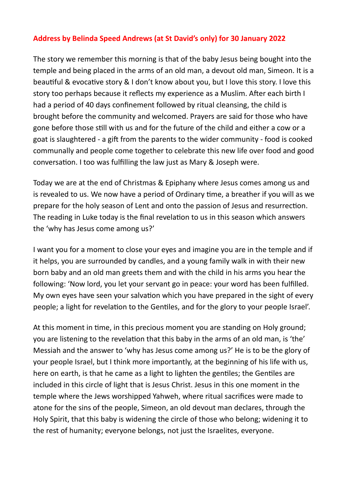## **Address by Belinda Speed Andrews (at St David's only) for 30 January 2022**

The story we remember this morning is that of the baby Jesus being bought into the temple and being placed in the arms of an old man, a devout old man, Simeon. It is a beautiful & evocative story & I don't know about you, but I love this story. I love this story too perhaps because it reflects my experience as a Muslim. After each birth I had a period of 40 days confinement followed by ritual cleansing, the child is brought before the community and welcomed. Prayers are said for those who have gone before those still with us and for the future of the child and either a cow or a goat is slaughtered - a gift from the parents to the wider community - food is cooked communally and people come together to celebrate this new life over food and good conversation. I too was fulfilling the law just as Mary & Joseph were.

Today we are at the end of Christmas & Epiphany where Jesus comes among us and is revealed to us. We now have a period of Ordinary time, a breather if you will as we prepare for the holy season of Lent and onto the passion of Jesus and resurrection. The reading in Luke today is the final revelation to us in this season which answers the 'why has Jesus come among us?'

I want you for a moment to close your eyes and imagine you are in the temple and if it helps, you are surrounded by candles, and a young family walk in with their new born baby and an old man greets them and with the child in his arms you hear the following: 'Now lord, you let your servant go in peace: your word has been fulfilled. My own eyes have seen your salvation which you have prepared in the sight of every people; a light for revelation to the Gentiles, and for the glory to your people Israel'.

At this moment in time, in this precious moment you are standing on Holy ground; you are listening to the revelation that this baby in the arms of an old man, is 'the' Messiah and the answer to 'why has Jesus come among us?' He is to be the glory of your people Israel, but I think more importantly, at the beginning of his life with us, here on earth, is that he came as a light to lighten the gentiles; the Gentiles are included in this circle of light that is Jesus Christ. Jesus in this one moment in the temple where the Jews worshipped Yahweh, where ritual sacrifices were made to atone for the sins of the people, Simeon, an old devout man declares, through the Holy Spirit, that this baby is widening the circle of those who belong; widening it to the rest of humanity; everyone belongs, not just the Israelites, everyone.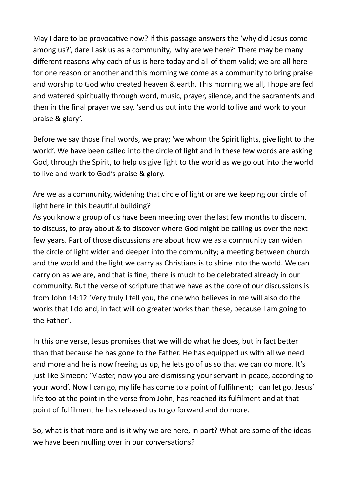May I dare to be provocative now? If this passage answers the 'why did Jesus come among us?', dare I ask us as a community, 'why are we here?' There may be many different reasons why each of us is here today and all of them valid; we are all here for one reason or another and this morning we come as a community to bring praise and worship to God who created heaven & earth. This morning we all, I hope are fed and watered spiritually through word, music, prayer, silence, and the sacraments and then in the final prayer we say, 'send us out into the world to live and work to your praise & glory'.

Before we say those final words, we pray; 'we whom the Spirit lights, give light to the world'. We have been called into the circle of light and in these few words are asking God, through the Spirit, to help us give light to the world as we go out into the world to live and work to God's praise & glory.

Are we as a community, widening that circle of light or are we keeping our circle of light here in this beautiful building?

As you know a group of us have been meeting over the last few months to discern, to discuss, to pray about & to discover where God might be calling us over the next few years. Part of those discussions are about how we as a community can widen the circle of light wider and deeper into the community; a meeting between church and the world and the light we carry as Christians is to shine into the world. We can carry on as we are, and that is fine, there is much to be celebrated already in our community. But the verse of scripture that we have as the core of our discussions is from John 14:12 'Very truly I tell you, the one who believes in me will also do the works that I do and, in fact will do greater works than these, because I am going to the Father'.

In this one verse, Jesus promises that we will do what he does, but in fact better than that because he has gone to the Father. He has equipped us with all we need and more and he is now freeing us up, he lets go of us so that we can do more. It's just like Simeon; 'Master, now you are dismissing your servant in peace, according to your word'. Now I can go, my life has come to a point of fulfilment; I can let go. Jesus' life too at the point in the verse from John, has reached its fulfilment and at that point of fulfilment he has released us to go forward and do more.

So, what is that more and is it why we are here, in part? What are some of the ideas we have been mulling over in our conversations?